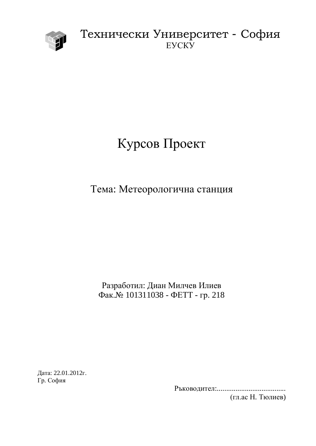

## Технически Университет - София EVCKY

# Курсов Проект

## Тема: Метеорологична станция

Разработил: Диан Милчев Илиев Фак.№ 101311038 - ФЕТТ - гр. 218

Дата: 22.01.2012г. Гр. София

> Ɋɴɤɨɜɨɞɢɬɟɥ:..................................... (гл.ас Н. Тюлиев)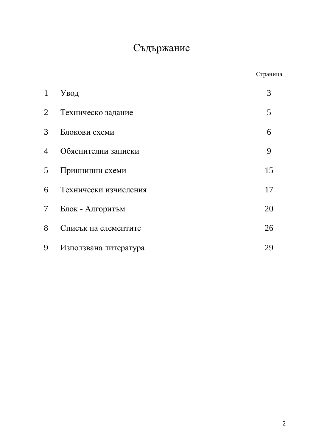## Съдържание

| $\mathbf{1}$    | Увод                  | 3  |
|-----------------|-----------------------|----|
| $\overline{2}$  | Техническо задание    | 5  |
| $\mathfrak{Z}$  | Блокови схеми         | 6  |
| $\overline{4}$  | Обяснителни записки   | 9  |
| 5 <sup>5</sup>  | Принципни схеми       | 15 |
| 6               | Технически изчисления | 17 |
| $7\overline{ }$ | Блок - Алгоритъм      | 20 |
| 8               | Списък на елементите  | 26 |
| 9               | Използвана литература | 29 |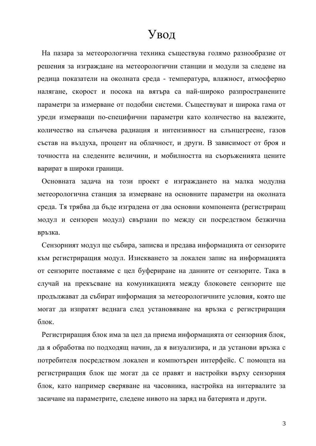## Увод

На пазара за метеорологична техника съществува голямо разнообразие от решения за изграждане на метеорологични станции и модули за следене на редица показатели на околната среда - температура, влажност, атмосферно налягане, скорост и посока на вятъра са най-широко разпространените параметри за измерване от подобни системи. Съществуват и широка гама от уреди измерващи по-специфични параметри като количество на валежите, количество на слънчева радиация и интензивност на слънцегреене, газов състав на въздуха, процент на облачност, и други. В зависимост от броя и точността на следените величини, и мобилността на съоръженията цените варират в широки граници.

Основната задача на този проект е изграждането на малка модулна метеорологична станция за измерване на основните параметри на околната среда. Тя трябва да бъде изградена от два основни компонента (регистриращ модул и сензорен модул) свързани по между си посредством безжична връзка.

Сензорният модул ще събира, записва и предава информацията от сензорите към регистриращия модул. Изискването за локален запис на информацията от сензорите поставяме с цел буфериране на данните от сензорите. Така в случай на прекъсване на комуникацията между блоковете сензорите ще продължават да събират информация за метеорологичните условия, която ще могат да изпратят веднага след установяване на връзка с регистриращия блок.

Регистриращия блок има за цел да приема информацията от сензорния блок, дая обработва по подходящ начин, да я визуализира, и да установи връзка с потребителя посредством локален и компютърен интерфейс. С помощта на регистриращия блок ще могат да се правят и настройки върху сензорния блок, като например сверяване на часовника, настройка на интервалите за засичане на параметрите, следене нивото на заряд на батерията и други.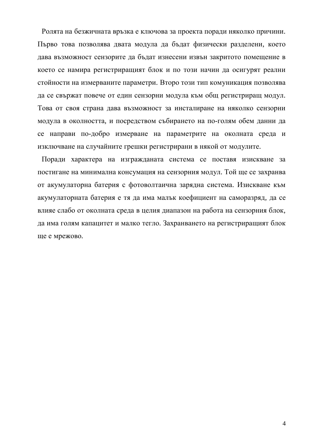Ролята на безжичната връзка е ключова за проекта поради няколко причини. Първо това позволява двата модула да бъдат физически разделени, което дава възможност сензорите да бъдат изнесени извън закритото помещение в което се намира регистриращият блок и по този начин да осигурят реални стойности на измерваните параметри. Второ този тип комуникация позволява да се свържат повече от един сензорни модула към общ регистриращ модул. Това от своя страна дава възможност за инсталиране на няколко сензорни модула в околността, и посредством събирането на по-голям обем данни да се направи по-добро измерване на параметрите на околната среда и изключване на случайните грешки регистрирани в някой от модулите.

Поради характера на изгражданата система се поставя изискване за постигане на минимална консумация на сензорния модул. Той ще се захранва от акумулаторна батерия с фотоволтаична зарядна система. Изискване към акумулаторната батерия е тя да има малък коефициент на саморазряд, да се влияе слабо от околната среда в целия диапазон на работа на сензорния блок, да има голям капацитет и малко тегло. Захранването на регистриращият блок ще е мрежово.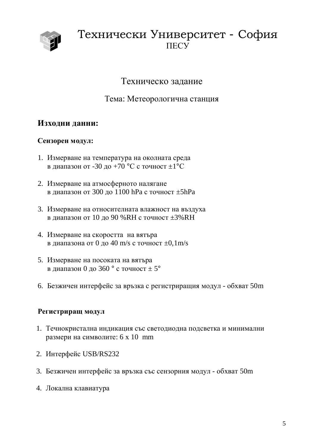

## Технически Университет - София **TIECY**

Техническо задание

Тема: Метеорологична станция

## **Изходни данни:**

### Сензорен модул:

- 1. Измерване на температура на околната среда в диапазон от -30 до +70 °С с точност  $\pm 1$ °С
- 2. Измерване на атмосферното налягане в диапазон от 300 до 1100 hPa с точност  $\pm$ 5hPa
- 3. Измерване на относителната влажност на въздуха в диапазон от 10 до 90 %RH с точност  $\pm 3\%$ RH
- 4. Измерване на скоростта на вятъра в диапазона от 0 до 40 m/s с точност  $\pm$ 0,1m/s
- 5. Измерване на посоката на вятъра в диапазон 0 до 360 ° с точност  $\pm$  5°
- 6. Безжичен интерфейс за връзка с регистриращия модул обхват 50m

### Регистриращ модул

- 1. Течнокристална индикация със светодиодна подсветка и минимални размери на символите: 6 х 10 mm
- 2. Интерфейс USB/RS232
- 3. Безжичен интерфейс за връзка със сензорния модул обхват 50m
- 4. Локална клавиатура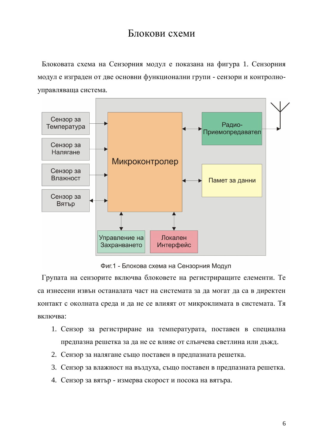## Блокови схеми

Блоковата схема на Сензорния модул е показана на фигура 1. Сензорния модул е изграден от две основни функционални групи - сензори и контролноуправляваща система.



Фиг.1 - Блокова схема на Сензорния Модул

Групата на сензорите включва блоковете на регистриращите елементи. Те са изнесени извън останалата част на системата за да могат да са в директен контакт с околната среда и да не се влияят от микроклимата в системата. Тя включва:

- 1. Сензор за регистриране на температурата, поставен в специална предпазна решетка за да не се влияе от слънчева светлина или дъжд.
- 2. Сензор за налягане също поставен в предпазната решетка.
- 3. Сензор за влажност на въздуха, също поставен в предпазната решетка.
- 4. Сензор за вятър измерва скорост и посока на вятъра.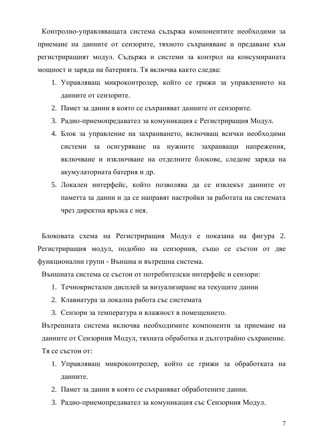Контролно-управляващата система съдържа компонентите необходими за приемане на данните от сензорите, тяхното съхраняване и предаване към регистриращият модул. Съдържа и системи за контрол на консумираната мощност и заряда на батерията. Тя включва както следва:

- 1. Управляващ микроконтролер, който се грижи за управлението на данните от сензорите.
- 2. Памет за данни в която се съхраняват данните от сензорите.
- 3. Радио-приемопредавател за комуникация с Регистриращия Модул.
- 4. Блок за управление на захранването, включващ всички необходими системи за осигуряване на нужните захранващи напрежения, включване и изключване на отделните блокове, следене заряда на акумулаторната батерия и др.
- 5. Локален интерфейс, който позволява да се извлекът данните от паметта за данни и да се направят настройки за работата на системата чрез директна връзка с нея.

Блоковата схема на Регистриращия Модул е показана на фигура 2. Регистриращия модул, подобно на сензорния, също се състои от две функционални групи - Външна и вътрешна система.

Външната система се състои от потребителски интерфейс и сензори:

- 1. Течнокристален дисплей за визуализиране на текущите данни
- 2. Клавиатура за локална работа със системата
- 3. Сензори за температура и влажност в помещението.

Вътрешната система включва необходимите компоненти за приемане на данните от Сензорния Модул, тяхната обработка и дълготрайно съхранение. Тя се състои от:

- 1. Управляващ микроконтролер, който се грижи за обработката на данните.
- 2. Памет за данни в която се съхраняват обработените данни.
- 3. Радио-приемопредавател за комуникация със Сензорния Модул.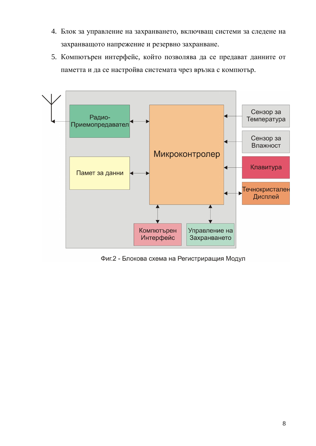- 4. Блок за управление на захранването, включващ системи за следене на захранващото напрежение и резервно захранване.
- 5. Компютърен интерфейс, който позволява да се предават данните от паметта и да се настройва системата чрез връзка с компютър.



Фиг.2 - Блокова схема на Регистриращия Модул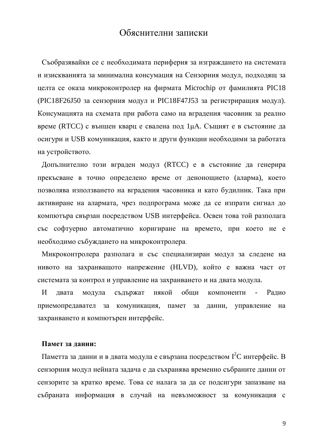## Обяснителни записки

Съобразявайки се с необходимата периферия за изграждането на системата и изискванията за минимална консумация на Сензорния модул, подходящ за целта се оказа микроконтролер на фирмата Microchip от фамилията PIC18 (PIC18F26J50 за сензорния модул и PIC18F47J53 за регистриращия модул). Консумацията на схемата при работа само на вградения часовник за реално време (RTCC) с външен кварц е свалена под 1µА. Същият е в състояние да осигури и USB комуникация, както и други функции необходими за работата на устройството.

Допълнително този вграден модул (RTCC) е в състояние да генерира прекъсване в точно определено време от денонощието (аларма), което позволява използването на вградения часовника и като будилник. Така при активиране на алармата, чрез подпрограма може да се изпрати сигнал до компютъра свързан посредством USB интерфейса. Освен това той разполага със софтуерно автоматично коригиране на времето, при което не е необходимо събуждането на микроконтролера.

Микроконтролера разполага и със специализиран модул за следене на нивото на захранващото напрежение (HLVD), който е важна част от системата за контрол и управление на захранването и на двата модула.

И двата модула съдържат някой общи компоненти - Радио приемопредавател за комуникация, памет за данни, управление на захранването и компютърен интерфейс.

#### Памет за данни:

Паметта за данни и в двата модула е свързана посредством I<sup>2</sup>C интерфейс. В сензорния модул нейната задача е да съхранява временно събраните данни от сензорите за кратко време. Това се налага за да се подсигури запазване на събраната информация в случай на невъзможност за комуникация с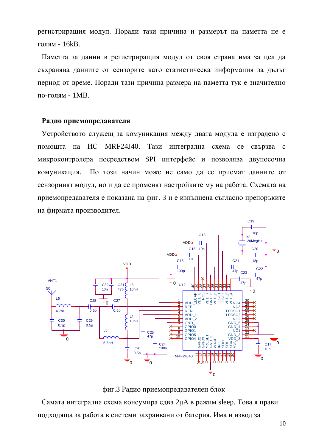регистриращия модул. Поради тази причина и размерът на паметта не е голям - 16 $kB$ .

Паметта за данни в регистриращия модул от своя страна има за цел да съхранява данните от сензорите като статистическа информация за дълъг период от време. Поради тази причина размера на паметта тук е значително по-голям - 1MB.

#### Радио приемопредавателя

Устройството служещ за комуникация между двата модула е изградено с помощта на ИС МRF24J40. Тази интегрална схема се свързва с микроконтролера посредством SPI интерфейс и позволява двупосочна комуникация. По този начин може не само да се приемат данните от сензорният модул, но и да се променят настройките му на работа. Схемата на приемопредавателя е показана на фиг. 3 и е изпълнена съгласно препоръките на фирмата производител.



фиг.3 Радио приемопредавателен блок

Самата интегрална схема консумира едва 2иА в режим sleep. Това я прави подходяща за работа в системи захранвани от батерия. Има и извод за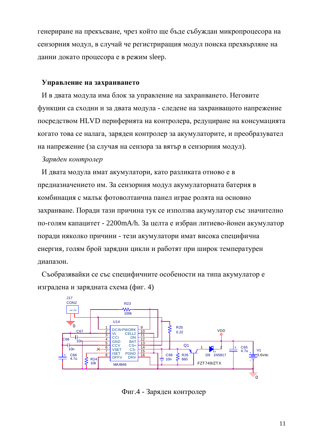генериране на прекъсване, чрез който ще бъде събуждан микропроцесора на сензорния модул, в случай че регистриращия модул поиска прехвърляне на данни докато процесора е в режим sleep.

#### **Управление на захранването**

И в двата модула има блок за управление на захранването. Неговите функции са сходни и за двата модула - следене на захранващото напрежение посредством HLVD периферията на контролера, редуциране на консумацията когато това се налага, заряден контролер за акумулаторите, и преобразувател на напрежение (за случая на сензора за вятър в сензорния модул).

#### Заряден контролер

И двата модула имат акумулатори, като разликата отново е в предназначението им. За сензорния модул акумулаторната батерия в комбинация с малък фотоволтаична панел играе ролята на основно захранване. Поради тази причина тук се използва акумулатор със значително по-голям капацитет - 2200mA/h. За целта е избран литиево-йонен акумулатор поради няколко причини - тези акумулатори имат висока специфична енергия, голям брой зарядни цикли и работят при широк температурен диапазон.

Съобразявайки се със специфичните особености на типа акумулатор е изградена и зарядната схема (фиг. 4)



Фиг.4 - Заряден контролер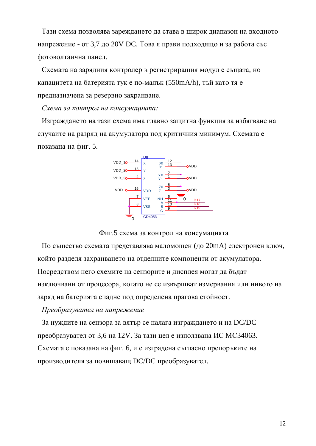Тази схема позволява зареждането да става в широк диапазон на входното напрежение - от 3,7 до 20V DC. Това я прави подходящо и за работа със фотоволтаична панел.

Схемата на зарядния контролер в регистриращия модул е същата, но капацитета на батерията тук е по-малък (550mA/h), тъй като тя е предназначена за резервно захранване.

Схема за контрол на консумацията:

Изграждането на тази схема има главно защитна функция за избягване на случаите на разряд на акумулатора под критичния минимум. Схемата е показана на фиг. 5.



Фиг.5 схема за контрол на консумацията

По същество схемата представлява маломощен (до 20mA) електронен ключ, който разделя захранването на отделните компоненти от акумулатора. Посредством него схемите на сензорите и дисплея могат да бъдат изключвани от процесора, когато не се извършват измервания или нивото на заряд на батерията спадне под определена прагова стойност.

#### $\Pi$ реобразувател на напрежение

За нуждите на сензора за вятър се налага изграждането и на DC/DC преобразувател от 3,6 на 12V. За тази цел е използвана ИС МСЗ4063. Схемата е показана на фиг. 6, и е изградена съгласно препоръките на производителя за повишаващ DC/DC преобразувател.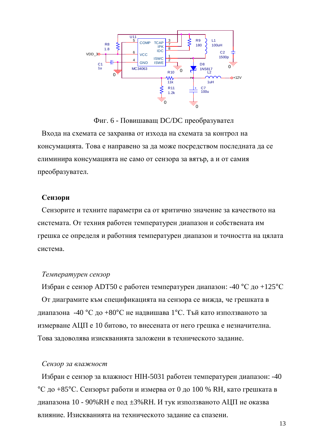

Фиг. 6 - Повишаващ DC/DC преобразувател Входа на схемата се захранва от изхода на схемата за контрол на консумацията. Това е направено за да може посредством последната да се елиминира консумацията не само от сензора за вятър, а и от самия преобразувател.

#### **Сензори**

Сензорите и техните параметри са от критично значение за качеството на системата. От техния работен температурен диапазон и собствената им грешка се определя и работния температурен диапазон и точността на цялата система.

#### $T$ емпературен сензор

Избран е сензор АDT50 с работен температурен диапазон: -40 °С до +125°С От диаграмите към спецификацията на сензора се вижда, че грешката в диапазона -40 °С до +80°С не надвишава 1°С. Тъй като използваното за измерване АЦП е 10 битово, то внесената от него грешка е незначителна. Това задоволява изискванията заложени в техническото задание.

#### Сензор за влажност

Избран е сензор за влажност НІН-5031 работен температурен диапазон: -40 °C до +85°С. Сензорът работи и измерва от 0 до 100 % RH, като грешката в диапазона 10 - 90%RH е под  $\pm 3\%$ RH. И тук използваното АЦП не оказва влияние. Изискванията на техническото залание са спазени.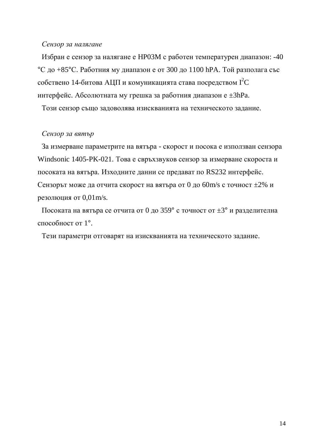#### Сензор за налягане

Избран е сензор за налягане е НР03М с работен температурен диапазон: -40 °C до  $+85$ °C. Работния му диапазон е от 300 до 1100 hPA. Той разполага със собствено 14-битова АЦП и комуникацията става посредством  $I<sup>2</sup>C$ интерфейс. Абсолютната му грешка за работния диапазон е  $\pm 3hPa$ .

Този сензор също задоволява изискванията на техническото задание.

#### Сензор за вятър

За измерване параметрите на вятъра - скорост и посока е използван сензора Windsonic 1405-PK-021. Това е свръхзвуков сензор за измерване скороста и посоката на вятъра. Изходните данни се предават по RS232 интерфейс. Сензорът може да отчита скорост на вятъра от 0 до 60m/s с точност  $\pm 2\%$  и резолюция от  $0.01$  m/s.

Посоката на вятъра се отчита от 0 до 359° с точност от  $\pm 3$ ° и разделителна способност от  $1^\circ$ .

Тези параметри отговарят на изискванията на техническото задание.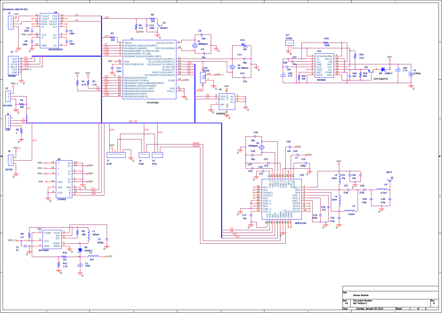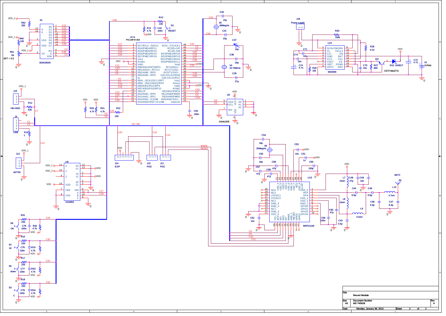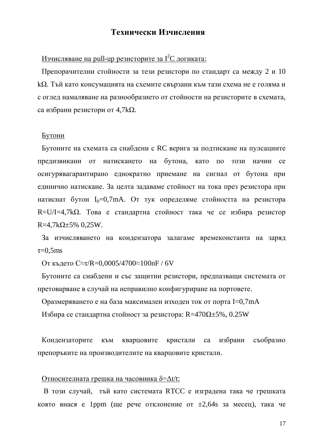### Технически Изчисления

### Изчисляване на pull-up резисторите за  $I<sup>2</sup>C$  логиката:

Препорачителни стойности за тези резистори по стандарт са между 2 и 10  $k\Omega$ . Тъй като консумацията на схемите свързани към тази схема не е голяма и с оглед намаляване на разнообразието от стойности на резисторите в схемата, са избрани резистори от 4,7kΩ.

#### <u>Бутони</u>

Бутоните на схемата са снабдени с RC верига за подтискане на пулсациите предизвикани от натискането на бутона, като по този начин се осигурявагарантирано еднократно приемане на сигнал от бутона при единично натискане. За целта задаваме стойност на тока през резистора при натиснат бутон  $I_0=0.7$ mA. От тук определяме стойността на резистора R=U/I=4,7k $\Omega$ . Това е стандартна стойност така че се избира резистор  $R=4,7k\Omega \pm 5\%$  0,25W.

За изчисляването на кондензатора залагаме времеконстанта на заряд  $\tau=0.5$ ms

От където С≈т/R=0,0005/4700≈100nF / 6V

Бутоните са снаблени и със зашитни резистори, предпазващи системата от претоварване в случай на неправилно конфигуриране на портовете.

Оразмеряването е на база максимален изходен ток от порта I=0,7mA

Избира се стандартна стойност за резистора:  $R=470\Omega \pm 5\%$ , 0.25W

Кондензаторите към кварцовите кристали са избрани съобразно препоръките на производителите на кварцовите кристали.

#### Относителната грешка на часовника  $\delta = \Delta t/t$ :

В този случай, тый като системата RTCC е изградена така че грешката която внася е 1ppm (ще рече отклонение от  $\pm 2,64s$  за месец), така че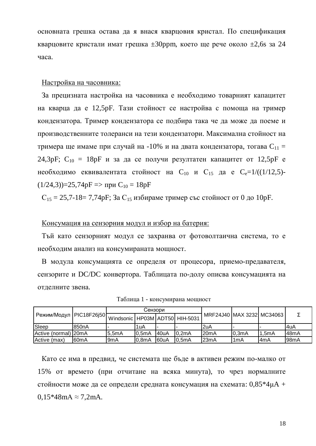основната грешка остава да я внася кварцовия кристал. По спецификация кварцовите кристали имат грешка  $\pm 30$ ррт, което ще рече около  $\pm 2.6$ s за 24 часа.

#### Настройка на часовника:

За прецизната настройка на часовника е необходимо товарният капацитет на кварца да е 12,5pF. Тази стойност се настройва с помоща на тример кондензатора. Тример кондензатора се подбира така че да може да поеме и производственните толеранси на тези кондензатори. Максимална стойност на тримера ще имаме при случай на -10% и на двата кондензатора, тогава  $C_{11}$  = 24,3pF;  $C_{10} = 18pF$  и за да се получи резултатен капацитет от 12,5pF е необходимо еквивалентата стойност на  $C_{10}$  и  $C_{15}$  да е  $C_{e}=1/((1/12,5)-15)$  $(1/24,3)$ =25,74pF =>  $\pi$ pu C<sub>10</sub> = 18pF

 $C_{15} = 25,7-18 = 7,74pF$ ; За  $C_{15}$  избираме тример със стойност от 0 до 10pF.

#### Консумация на сензорния модул и избор на батерия:

Тъй като сензорният модул се захранва от фотоволтаична система, то е необходим анализ на консумираната мощност.

В модула консумацията се определя от процесора, приемо-предавателя, сензорите и DC/DC конвертора. Таблицата по-долу описва консумацията на отделните звена.

|                      | , Режим/Модул   PIC18F26j50   Windsonic   HP03M   ADT50   HIH-5031 <sup>  ''</sup> | Сензори |               |       |        |                           |                    |          |                    |  |
|----------------------|------------------------------------------------------------------------------------|---------|---------------|-------|--------|---------------------------|--------------------|----------|--------------------|--|
|                      |                                                                                    |         |               |       |        | MRF24J40 MAX 3232 MC34063 |                    |          |                    |  |
| <b>Sleep</b>         | 850 <sub>n</sub> A                                                                 |         | 1uA           |       |        | '2uA                      |                    |          | l4uA               |  |
| Active (normal) 20mA |                                                                                    | 15.5mA  | <b>10.5mA</b> | 40uA  | 10.2mA | 20mA                      | 0.3 <sub>m</sub> A | $1.5m$ A | 148mA              |  |
| Active (max)         | 160 <sub>m</sub> A                                                                 | l9mA    | 10.8mA        | 160uA | 10.5mA | l23mA                     | 1mA                | l4mA     | 198 <sub>m</sub> A |  |

Таблица 1 - консумирана мощност

Като се има в предвид, че системата ще бъде в активен режим по-малко от 15% от времето (при отчитане на всяка минута), то чрез нормалните стойности може да се определи средната консумация на схемата:  $0.85*4\mu A +$  $0.15*48mA \approx 7.2mA$ .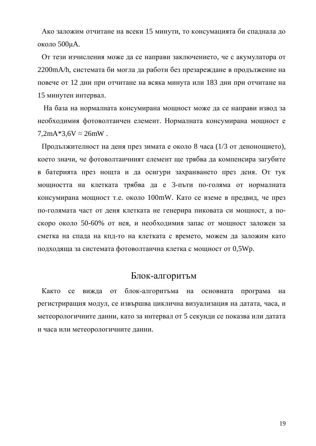Ако заложим отчитане на всеки 15 минути, то консумацията би спаднала до около 500иА.

От тези изчисления може да се направи заключението, че с акумулатора от 2200mA/h, системата би могла да работи без презареждане в продължение на повече от 12 дни при отчитане на всяка минута или 183 дни при отчитане на 15 минутен интервал.

На база на нормалната консумирана мощност може да се направи извод за необходимия фотоволтаичен елемент. Нормалната консумирана мощност е  $7,2mA*3,6V \approx 26mW$ .

Продължителност на деня през зимата е около 8 часа (1/3 от денонощието), което значи, че фотоволтаичният елемент ще трябва да компенсира загубите в батерията през нощта и да осигури захранването през деня. От тук мощността на клетката трябва да е 3-пъти по-голяма от нормалната консумирана мощност т.е. около 100mW. Като се вземе в предвид, че през по-голямата част от деня клетката не генерира пиковата си мощност, а поскоро около 50-60% от нея, и необходимия запас от мощност заложен за сметка на спада на кпд-то на клетката с времето, можем да заложим като подходяща за системата фотоволтаична клетка с мощност от 0,5Wp.

### Блок-алгоритьм

Както се вижда от блок-алгоритьма на основната програма на регистриращия модул, се извършва циклична визуализация на датата, часа, и метеорологичните данни, като за интервал от 5 секунди се показва или датата и часа или метеорологичните данни.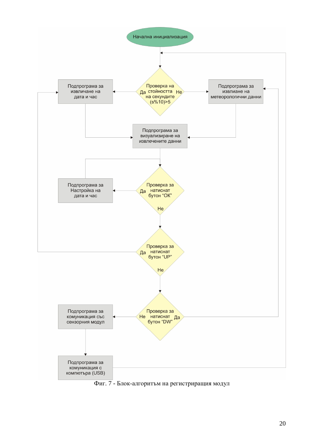

Фиг. 7 - Блок-алгоритъм на регистриращия модул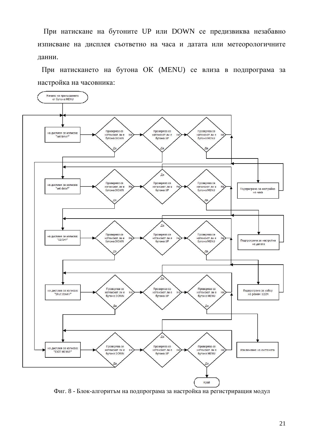При натискане на бутоните UP или DOWN се предизвиква незабавно изписване на дисплея съответно на часа и датата или метеорологичните данни.

При натискането на бутона ОК (MENU) се влиза в подпрограма за настройка на часовника:



Фиг. 8 - Блок-алгоритъм на подпрограма за настройка на регистриращия модул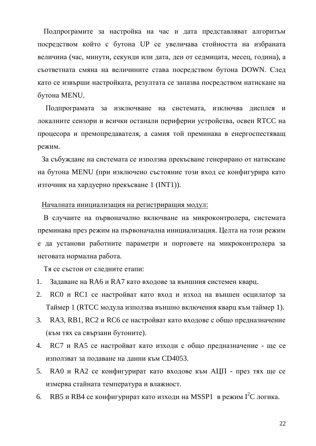Подпрограмите за настройка на час и дата представляват алгоритъм посредством който с бутона UP се увеличава стойността на избраната величина (час, минути, секунди или дата, ден от седмицата, месец, година), а съответната смяна на величините става посредством бутона DOWN. След като се извърши настройката, резултата се запазва посредством натискане на бутона MENU.

Подпрограмата за изключване на системата, изключва дисплея и локалните сензори и всички останали периферни устройства, освен RTCC на процесора и премопредавателя, а самия той преминава в енергоспестяващ режим.

За събуждане на системата се използва прекъсване генерирано от натискане на бутона MENU (при изключено състояние този вход се конфигурира като източник на хардуерно прекъсване 1 (INT1)).

#### Началната инициализация на регистриращия модул:

В случаите на първоначално включване на микроконтролера, системата преминава през режим на първоначална инициализация. Целта на този режим е да установи работните параметри и портовете на микроконтролера за неговата нормална работа.

Тя се състои от следните етапи:

- 1. Задаване на RA6 и RA7 като входове за външния системен кварц.
- 2. RC0 и RC1 се настройват като вход и изход на външен осцилатор за Таймер 1 (RTCC модула използва външно включения кварц към таймер 1).
- 3. RA3, RB1, RC2 и RC6 се настройват като входове с общо предназначение (към тях са свързани бутоните).
- 4. RC7 и RA5 се настройват като изходи с общо предназначение ще се използват за подаване на данни към СD4053.
- 5. RA0 и RA2 се конфигурират като входове към АЦП през тях ще се измерва стайната температура и влажност.
- 6. RB5 и RB4 се конфигурират като изходи на MSSP1 в режим  $I^2C$ логика.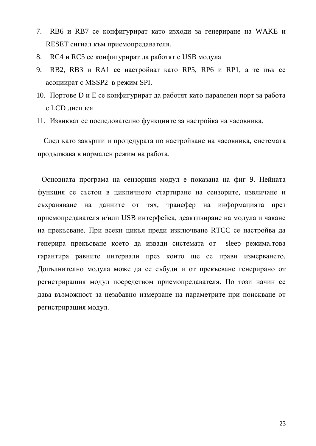- 7. RB6 и RB7 се конфигурират като изходи за генериране на WAKE и RESET сигнал към приемопредавателя.
- 8. RC4 и RC5 се конфигурират да работят с USB модула
- 9. RB2, RB3 и RA1 се настройват като RP5, RP6 и RP1, а те пък се асоциират с MSSP2 в режим SPI.
- 10. Портове D и E се конфигурират да работят като паралелен порт за работа с LCD дисплея
- 11. Извикват се последователно функциите за настройка на часовника.

След като завърши и процедурата по настройване на часовника, системата продължава в нормален режим на работа.

Основната програма на сензорния модул е показана на фиг 9. Нейната функция се състои в цикличното стартиране на сензорите, извличане и съхраняване на данните от тях, трансфер на информацията през приемопредавателя и/или USB интерфейса, деактивиране на модула и чакане на прекъсване. При всеки цикъл преди изключване RTCC се настройва да генерира прекъсване което да извади системата от sleep режима.това гарантира равните интервали през които ще се прави измерването. Допълнително модула може да се събуди и от прекъсване генерирано от регистриращия модул посредством приемопредавателя. По този начин се дава възможност за незабавно измерване на параметрите при поискване от регистриращия модул.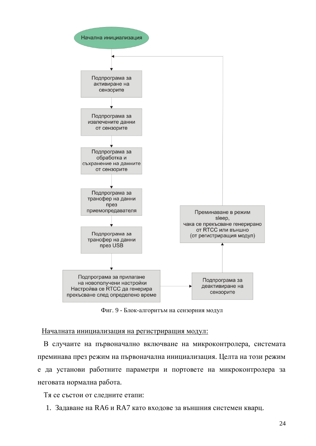

Фиг. 9 - Блок-алгоритъм на сензорния модул

#### Началната инициализация на регистриращия модул:

В случаите на първоначално включване на микроконтролера, системата преминава през режим на първоначална инициализация. Целта на този режим е да установи работните параметри и портовете на микроконтролера за неговата нормална работа.

Тя се състои от следните етапи:

1. Задаване на RA6 и RA7 като входове за външния системен кварц.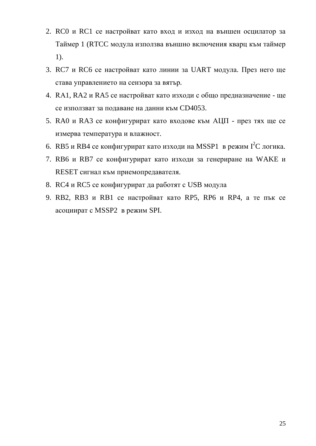- 2. RC0 и RC1 се настройват като вход и изход на външен осцилатор за Таймер 1 (RTCC модула използва външно включения кварц към таймер 1).
- 3. RC7 и RC6 се настройват като линии за UART модула. През него ще става управлението на сензора за вятър.
- 4. RA1, RA2 и RA5 се настройват като изходи с общо предназначение ще се използват за подаване на данни към СD4053.
- 5. RA0 и RA3 се конфигурират като входове към АЦП през тях ще се измерва температура и влажност.
- 6. RB5 и RB4 се конфигурират като изходи на MSSP1 в режим  $I<sup>2</sup>C$  логика.
- 7. RB6 и RB7 се конфигурират като изходи за генериране на WAKE и RESET сигнал към приемопредавателя.
- 8. RC4 и RC5 се конфигурират да работят с USB модула
- 9. RB2, RB3 и RB1 се настройват като RP5, RP6 и RP4, а те пък се асоциират с MSSP2 в режим SPI.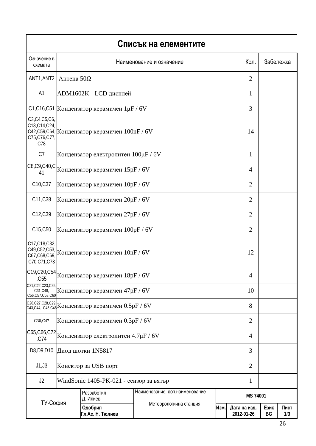| Списък на елементите                                                                                          |                                         |                                                                                    |                                 |                                    |  |                |            |             |  |  |  |
|---------------------------------------------------------------------------------------------------------------|-----------------------------------------|------------------------------------------------------------------------------------|---------------------------------|------------------------------------|--|----------------|------------|-------------|--|--|--|
| Означение в<br>схемата                                                                                        | Кол.<br>Наименование и означение        |                                                                                    |                                 |                                    |  |                | Забележка  |             |  |  |  |
| ANT1, ANT2                                                                                                    | Антена $50\Omega$                       |                                                                                    |                                 |                                    |  |                |            |             |  |  |  |
| A1                                                                                                            | ADM1602K - LCD дисплей                  | 1                                                                                  |                                 |                                    |  |                |            |             |  |  |  |
| С1, С16, С51 Кондензатор керамичен 1µF / 6V                                                                   |                                         | 3                                                                                  |                                 |                                    |  |                |            |             |  |  |  |
| C3, C4, C5, C6,<br>C13, C14, C24,<br>C42, C59, C64, Кондензатор керамичен 100nF / 6V<br>C75, C76, C77,<br>C78 |                                         | 14                                                                                 |                                 |                                    |  |                |            |             |  |  |  |
| C7                                                                                                            |                                         | Кондензатор електролитен 100µF / 6V                                                |                                 |                                    |  | $\mathbf{1}$   |            |             |  |  |  |
|                                                                                                               |                                         | C8, C9, C40, C Кондензатор керамичен 15pF / 6V                                     |                                 |                                    |  | $\overline{4}$ |            |             |  |  |  |
| C10, C37                                                                                                      |                                         | Кондензатор керамичен 10pF / 6V                                                    |                                 |                                    |  | $\overline{2}$ |            |             |  |  |  |
| C11, C38                                                                                                      |                                         | Кондензатор керамичен 20pF / 6V                                                    |                                 |                                    |  | $\overline{2}$ |            |             |  |  |  |
| C12,C39                                                                                                       |                                         | Кондензатор керамичен 27pF / 6V                                                    |                                 |                                    |  | $\overline{2}$ |            |             |  |  |  |
| C15, C50                                                                                                      | Кондензатор керамичен 100pF / 6V        | $\overline{2}$                                                                     |                                 |                                    |  |                |            |             |  |  |  |
| C17, C18, C32,<br>C49, C52, C53,<br>C67, C68, C69,<br>C70, C71, C73                                           | Кондензатор керамичен 10nF / 6V         |                                                                                    |                                 |                                    |  |                |            |             |  |  |  |
| C19, C20, C54<br>, C55                                                                                        |                                         | Кондензатор керамичен 18pF / 6V                                                    |                                 |                                    |  | $\overline{4}$ |            |             |  |  |  |
| C21, C22, C23, C25<br>C31, C48,<br>C56, C57, C58, C60                                                         |                                         | Кондензатор керамичен 47pF / 6V                                                    |                                 |                                    |  | 10             |            |             |  |  |  |
|                                                                                                               |                                         | c26,c27,c28,c29, <br><sub>c43,c44, c45,c46</sub>  Кондензатор керамичен 0.5pF / 6V |                                 |                                    |  | 8              |            |             |  |  |  |
| C30,C47                                                                                                       | Кондензатор керамичен 0.3pF / 6V        |                                                                                    |                                 |                                    |  |                |            |             |  |  |  |
| C65, C66, C72<br>,C74                                                                                         | Кондензатор електролитен 4.7µF / 6V     |                                                                                    |                                 |                                    |  | $\overline{4}$ |            |             |  |  |  |
| D8, D9, D10                                                                                                   | Диод шотки 1N5817                       |                                                                                    |                                 |                                    |  |                |            |             |  |  |  |
| J1, J3                                                                                                        | Конектор за USB порт                    |                                                                                    |                                 |                                    |  |                |            |             |  |  |  |
| J2                                                                                                            | WindSonic 1405-PK-021 - сензор за вятър |                                                                                    |                                 |                                    |  | 1              |            |             |  |  |  |
|                                                                                                               |                                         | Разработил<br>Д. Илиев                                                             | Наименование, доп. наименование | MS 74001                           |  |                |            |             |  |  |  |
| ТУ-София                                                                                                      |                                         | Одобрил<br>Гл.Ас. Н. Тюлиев                                                        | Метеорологична станция          | Изм.<br>Дата на изд.<br>2012-01-26 |  |                | Език<br>BG | Лист<br>1/3 |  |  |  |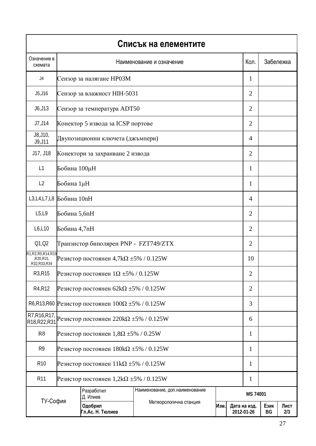| Списък на елементите                               |                                                  |                                                            |                                                                   |           |                            |                |            |             |  |
|----------------------------------------------------|--------------------------------------------------|------------------------------------------------------------|-------------------------------------------------------------------|-----------|----------------------------|----------------|------------|-------------|--|
| Означение в<br>схемата                             |                                                  | Кол.                                                       |                                                                   | Забележка |                            |                |            |             |  |
| J4                                                 | Сензор за налягане НР03М                         |                                                            |                                                                   |           |                            |                |            |             |  |
| J5, J16                                            | Сензор за влажност НІН-5031                      |                                                            |                                                                   |           |                            |                |            |             |  |
| J6, J13                                            | Сензор за температура ADT50                      |                                                            |                                                                   |           |                            |                |            |             |  |
| J7, J14                                            |                                                  | Конектор 5 извода за ICSP портове                          |                                                                   |           |                            | $\overline{2}$ |            |             |  |
| J8, J10,<br>J9, J11                                |                                                  | Двупозиционни ключета (джъмпери)                           |                                                                   |           |                            | $\overline{4}$ |            |             |  |
| J17, J18                                           |                                                  | Конектори за захранване 2 извода                           |                                                                   |           |                            | 2              |            |             |  |
| L1                                                 | Бобина 100µН                                     |                                                            |                                                                   |           |                            | 1              |            |             |  |
| L <sub>2</sub>                                     | Бобина 1µН                                       |                                                            |                                                                   |           |                            | 1              |            |             |  |
|                                                    |                                                  | L3,L4,L7,L8 Бобина 10nH                                    |                                                                   |           |                            |                |            |             |  |
| L5, L9                                             |                                                  | Бобина 5,6nH                                               |                                                                   |           |                            |                |            |             |  |
| L6, L10                                            |                                                  | Бобина 4,7nH                                               |                                                                   |           |                            |                |            |             |  |
| Q1, Q2                                             |                                                  | Транзистор биполярен PNP - FZT749/ZTX                      |                                                                   |           |                            |                |            |             |  |
| R1, R2, R5, R14, R19<br>,R20,R21,<br>R32, R33, R34 |                                                  | Резистор постоянен 4,7k $\Omega$ $\pm$ 5% / 0.125W         |                                                                   |           |                            | 10             |            |             |  |
| R <sub>3</sub> ,R <sub>15</sub>                    |                                                  | Резистор постоянен $1\Omega \pm 5\%$ / 0.125W              |                                                                   |           |                            | $\overline{2}$ |            |             |  |
| R <sub>4</sub> ,R <sub>12</sub>                    |                                                  | Резистор постоянен 62k $\Omega$ ±5% / 0.125W               |                                                                   |           |                            | $\overline{2}$ |            |             |  |
|                                                    |                                                  | R6,R13,R60 Резистор постоянен $100\Omega \pm 5\% / 0.125W$ |                                                                   |           |                            | 3              |            |             |  |
| R7, R16, R17,<br>R18, R22, R31                     | Резистор постоянен 220kΩ $\pm$ 5% / 0.125W       |                                                            |                                                                   |           |                            |                |            |             |  |
| R <sub>8</sub>                                     | Резистор постоянен $1,8\Omega \pm 5\%$ / 0.25W   |                                                            |                                                                   |           |                            | 1              |            |             |  |
| R <sub>9</sub>                                     |                                                  | Резистор постоянен $180 \text{k}\Omega \pm 5\%$ / 0.125W   |                                                                   |           |                            |                |            |             |  |
| R <sub>10</sub>                                    | Резистор постоянен $11k\Omega \pm 5\% / 0.125W$  |                                                            |                                                                   |           |                            |                |            |             |  |
| R <sub>11</sub>                                    | Резистор постоянен $1,2k\Omega \pm 5\%$ / 0.125W |                                                            |                                                                   |           |                            | 1              |            |             |  |
|                                                    |                                                  | Разработил<br>Д. Илиев                                     | Наименование, доп. наименование<br>Метеорологична станция<br>Изм. |           |                            | MS 74001       |            |             |  |
| ТУ-София                                           |                                                  | Одобрил<br>Гл.Ас. Н. Тюлиев                                |                                                                   |           | Дата на изд.<br>2012-01-26 |                | Език<br>BG | Лист<br>2/3 |  |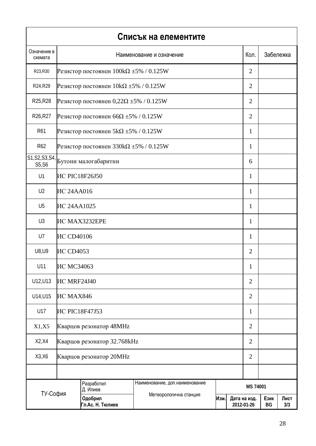|                                          |                                                          |                                                 | Списък на елементите            |      |          |                            |            |             |
|------------------------------------------|----------------------------------------------------------|-------------------------------------------------|---------------------------------|------|----------|----------------------------|------------|-------------|
| Означение в<br>схемата                   | Наименование и означение                                 |                                                 |                                 |      |          |                            |            | Забележка   |
| R23, R30                                 | Резистор постоянен $100 \text{k}\Omega \pm 5\%$ / 0.125W |                                                 |                                 |      |          |                            |            |             |
| R24, R29                                 |                                                          | Резистор постоянен $10k\Omega \pm 5\%$ / 0.125W |                                 |      |          |                            |            |             |
| R25, R28                                 |                                                          | Резистор постоянен 0,22 $\Omega$ ±5% / 0.125W   |                                 |      |          |                            |            |             |
| R26, R27                                 |                                                          | Резистор постоянен 66 $\Omega$ ±5% / 0.125W     |                                 |      |          | $\overline{2}$             |            |             |
| R61                                      |                                                          | Резистор постоянен $5k\Omega \pm 5\%$ / 0.125W  |                                 |      |          | 1                          |            |             |
| R <sub>62</sub>                          |                                                          | Резистор постоянен 330k $\Omega$ ±5% / 0.125W   |                                 |      |          | 1                          |            |             |
| S1, S2, S3, S4,<br>S5, S6                |                                                          | Бутони малогабаритни                            |                                 |      |          | 6                          |            |             |
| U1                                       |                                                          | <b>IC PIC18F26J50</b>                           |                                 |      |          | 1                          |            |             |
| U <sub>2</sub>                           | <b>IIC 24AA016</b>                                       |                                                 |                                 |      |          | $\mathbf{1}$               |            |             |
| U <sub>5</sub>                           |                                                          | <b>IIC 24AA1025</b>                             |                                 |      |          |                            |            |             |
| U3                                       |                                                          | <b>IC MAX3232EPE</b>                            |                                 |      |          |                            |            |             |
| U7                                       | <b>IIC CD40106</b>                                       |                                                 |                                 |      |          |                            |            |             |
| U8, U9<br><b>IIC CD4053</b>              |                                                          |                                                 |                                 |      |          | $\overline{2}$             |            |             |
| U11                                      | ИС МСЗ4063                                               |                                                 |                                 |      |          | $\mathbf{I}$               |            |             |
| U12, U13                                 | <b>IIC MRF24J40</b>                                      |                                                 |                                 |      |          | $\overline{2}$             |            |             |
| U14, U15                                 | <b>IIC MAX846</b>                                        |                                                 |                                 |      |          | $\overline{2}$             |            |             |
| U17                                      | <b>IC PIC18F47J53</b>                                    |                                                 |                                 |      |          |                            |            |             |
| X1, X5                                   | <b>Кварцов резонатор 48MHz</b>                           |                                                 |                                 |      |          |                            |            |             |
| X2, X4                                   | Кварцов резонатор 32.768kHz                              |                                                 |                                 |      |          |                            |            |             |
| X3, X6<br><b>Кварцов резонатор 20MHz</b> |                                                          |                                                 |                                 |      |          | $\overline{2}$             |            |             |
|                                          |                                                          |                                                 |                                 |      |          |                            |            |             |
|                                          | Разработил<br>Д. Илиев                                   |                                                 | Наименование, доп. наименование |      | MS 74001 |                            |            |             |
| ТУ-София                                 |                                                          | Одобрил<br>Гл.Ас. Н. Тюлиев                     | Метеорологична станция          | Изм. |          | Дата на изд.<br>2012-01-26 | Език<br>BG | Лист<br>3/3 |